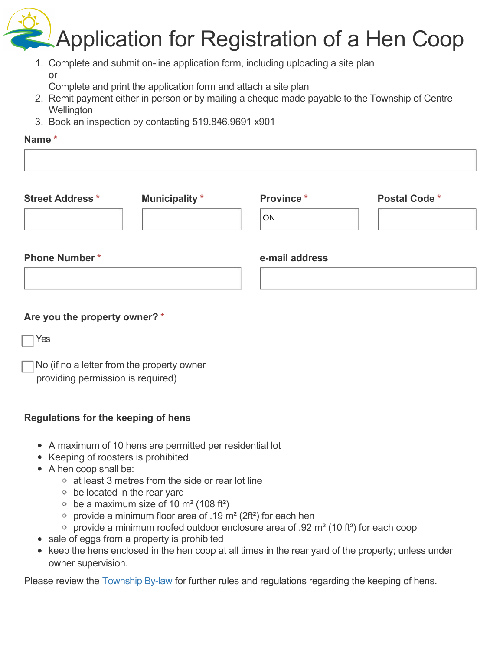Application for Registration of a Hen Coop

1. Complete and submit on-line application form, including uploading a site plan or

Complete and print the application form and attach a site plan

- 2. Remit payment either in person or by mailing a cheque made payable to the Township of Centre **Wellington**
- 3. Book an inspection by contacting 519.846.9691 x901

## **Name \***

| <b>Municipality</b> * | Province*      | <b>Postal Code*</b> |
|-----------------------|----------------|---------------------|
|                       | <b>ON</b>      |                     |
| <b>Phone Number*</b>  | e-mail address |                     |
|                       |                |                     |
|                       |                |                     |

## **Are you the property owner? \***

Yes

No (if no a letter from the property owner providing permission is required)

## **Regulations for the keeping of hens**

- A maximum of 10 hens are permitted per residential lot
- Keeping of roosters is prohibited
- A hen coop shall be:
	- at least 3 metres from the side or rear lot line
	- be located in the rear yard
	- be a maximum size of 10  $m<sup>2</sup>$  (108 ft<sup>2</sup>)
	- provide a minimum floor area of .19  $m<sup>2</sup>$  (2ft<sup>2</sup>) for each hen
	- provide a minimum roofed outdoor enclosure area of .92  $m<sup>2</sup>$  (10 ft<sup>2</sup>) for each coop
- sale of eggs from a property is prohibited
- keep the hens enclosed in the hen coop at all times in the rear yard of the property; unless under owner supervision.

Please review the [Township By-law](https://www.centrewellington.ca/en/township-services/resources/Documents/LegislativeServices/19-70.pdf) for further rules and regulations regarding the keeping of hens.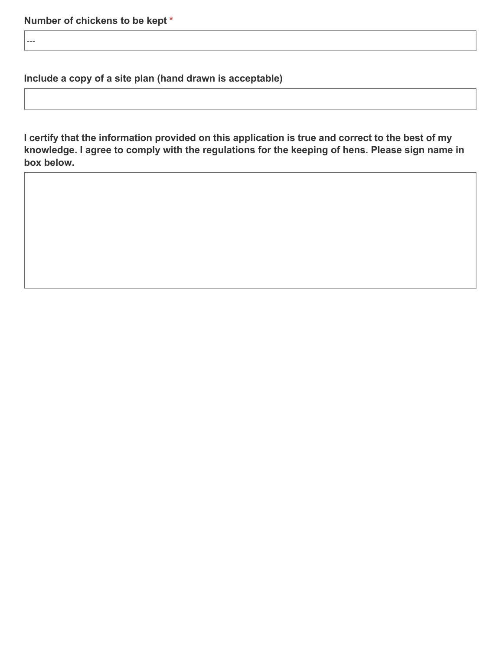---

**Include a copy of a site plan (hand drawn is acceptable)**

**I certify that the information provided on this application is true and correct to the best of my knowledge. I agree to comply with the regulations for the keeping of hens. Please sign name in box below.**